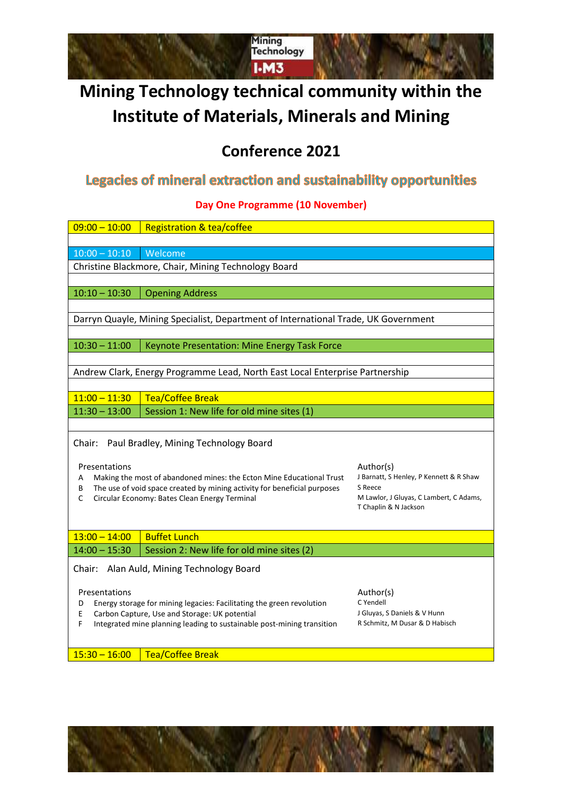

# **Mining Technology technical community within the Institute of Materials, Minerals and Mining**

## **Conference 2021**

## Legacies of mineral extraction and sustainability opportunities

**Day One Programme (10 November)**

| $09:00 - 10:00$                                                                                               | <b>Registration &amp; tea/coffee</b>                                                                                                             |                                                    |  |  |
|---------------------------------------------------------------------------------------------------------------|--------------------------------------------------------------------------------------------------------------------------------------------------|----------------------------------------------------|--|--|
|                                                                                                               |                                                                                                                                                  |                                                    |  |  |
| $10:00 - 10:10$                                                                                               | Welcome                                                                                                                                          |                                                    |  |  |
|                                                                                                               | Christine Blackmore, Chair, Mining Technology Board                                                                                              |                                                    |  |  |
|                                                                                                               |                                                                                                                                                  |                                                    |  |  |
| $10:10 - 10:30$                                                                                               | <b>Opening Address</b>                                                                                                                           |                                                    |  |  |
|                                                                                                               |                                                                                                                                                  |                                                    |  |  |
|                                                                                                               | Darryn Quayle, Mining Specialist, Department of International Trade, UK Government                                                               |                                                    |  |  |
|                                                                                                               |                                                                                                                                                  |                                                    |  |  |
|                                                                                                               | $10:30 - 11:00$<br>Keynote Presentation: Mine Energy Task Force                                                                                  |                                                    |  |  |
|                                                                                                               |                                                                                                                                                  |                                                    |  |  |
| Andrew Clark, Energy Programme Lead, North East Local Enterprise Partnership                                  |                                                                                                                                                  |                                                    |  |  |
|                                                                                                               |                                                                                                                                                  |                                                    |  |  |
| $11:00 - 11:30$                                                                                               | <b>Tea/Coffee Break</b>                                                                                                                          |                                                    |  |  |
| $11:30 - 13:00$                                                                                               | Session 1: New life for old mine sites (1)                                                                                                       |                                                    |  |  |
|                                                                                                               |                                                                                                                                                  |                                                    |  |  |
| Chair:                                                                                                        | Paul Bradley, Mining Technology Board                                                                                                            |                                                    |  |  |
|                                                                                                               |                                                                                                                                                  |                                                    |  |  |
| Presentations                                                                                                 |                                                                                                                                                  | Author(s)                                          |  |  |
| A<br>В                                                                                                        | Making the most of abandoned mines: the Ecton Mine Educational Trust<br>The use of void space created by mining activity for beneficial purposes | J Barnatt, S Henley, P Kennett & R Shaw<br>S Reece |  |  |
| C                                                                                                             | Circular Economy: Bates Clean Energy Terminal                                                                                                    | M Lawlor, J Gluyas, C Lambert, C Adams,            |  |  |
|                                                                                                               |                                                                                                                                                  | T Chaplin & N Jackson                              |  |  |
|                                                                                                               |                                                                                                                                                  |                                                    |  |  |
| $13:00 - 14:00$                                                                                               | <b>Buffet Lunch</b>                                                                                                                              |                                                    |  |  |
| $14:00 - 15:30$                                                                                               | Session 2: New life for old mine sites (2)                                                                                                       |                                                    |  |  |
|                                                                                                               |                                                                                                                                                  |                                                    |  |  |
| Chair: Alan Auld, Mining Technology Board                                                                     |                                                                                                                                                  |                                                    |  |  |
| Presentations                                                                                                 |                                                                                                                                                  | Author(s)                                          |  |  |
| D                                                                                                             | Energy storage for mining legacies: Facilitating the green revolution                                                                            | C Yendell                                          |  |  |
| Carbon Capture, Use and Storage: UK potential<br>Е                                                            |                                                                                                                                                  | J Gluyas, S Daniels & V Hunn                       |  |  |
| F<br>R Schmitz, M Dusar & D Habisch<br>Integrated mine planning leading to sustainable post-mining transition |                                                                                                                                                  |                                                    |  |  |
|                                                                                                               |                                                                                                                                                  |                                                    |  |  |
| $15:30 - 16:00$                                                                                               | <b>Tea/Coffee Break</b>                                                                                                                          |                                                    |  |  |
|                                                                                                               |                                                                                                                                                  |                                                    |  |  |

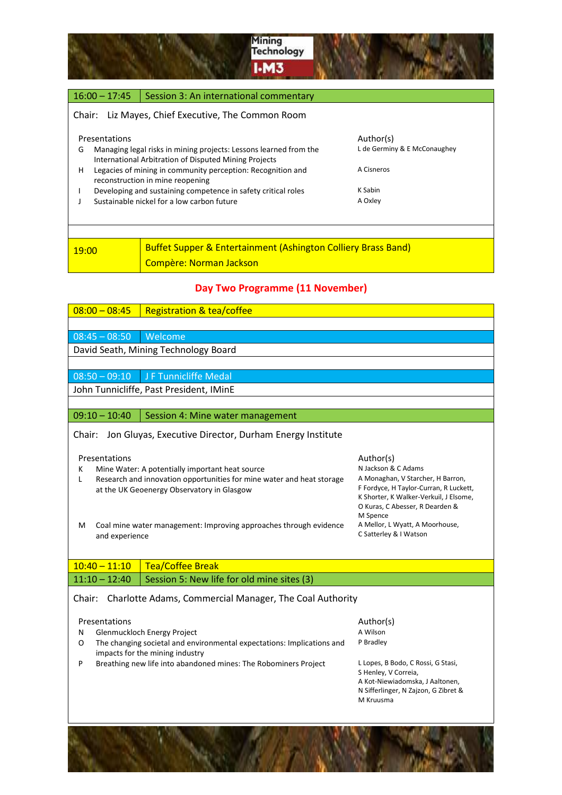

### $16:00 - 17:45$  Session 3: An international commentary Chair: Liz Mayes, Chief Executive, The Common Room Presentations Author(s) G Managing legal risks in mining projects: Lessons learned from the International Arbitration of Disputed Mining Projects L de Germiny & E McConaughey H Legacies of mining in community perception: Recognition and reconstruction in mine reopening A Cisneros I Developing and sustaining competence in safety critical roles K Sabin J Sustainable nickel for a low carbon future A Oxley 19:00 **Buffet Supper & Entertainment (Ashington Colliery Brass Band)** Compère: Norman Jackson

#### **Day Two Programme (11 November)**

| $08:00 - 08:45$                                                                                                                                       | <b>Registration &amp; tea/coffee</b>                                                                                                                                                                        |                                                                                                                                                                                                          |  |  |
|-------------------------------------------------------------------------------------------------------------------------------------------------------|-------------------------------------------------------------------------------------------------------------------------------------------------------------------------------------------------------------|----------------------------------------------------------------------------------------------------------------------------------------------------------------------------------------------------------|--|--|
|                                                                                                                                                       |                                                                                                                                                                                                             |                                                                                                                                                                                                          |  |  |
| $08:45 - 08:50$                                                                                                                                       | Welcome                                                                                                                                                                                                     |                                                                                                                                                                                                          |  |  |
| David Seath, Mining Technology Board                                                                                                                  |                                                                                                                                                                                                             |                                                                                                                                                                                                          |  |  |
|                                                                                                                                                       |                                                                                                                                                                                                             |                                                                                                                                                                                                          |  |  |
| $08:50 - 09:10$                                                                                                                                       | J F Tunnicliffe Medal                                                                                                                                                                                       |                                                                                                                                                                                                          |  |  |
|                                                                                                                                                       | John Tunnicliffe, Past President, IMinE                                                                                                                                                                     |                                                                                                                                                                                                          |  |  |
|                                                                                                                                                       |                                                                                                                                                                                                             |                                                                                                                                                                                                          |  |  |
| $09:10 - 10:40$                                                                                                                                       | Session 4: Mine water management                                                                                                                                                                            |                                                                                                                                                                                                          |  |  |
| Jon Gluyas, Executive Director, Durham Energy Institute<br>Chair:                                                                                     |                                                                                                                                                                                                             |                                                                                                                                                                                                          |  |  |
| Presentations<br>К<br>L                                                                                                                               | Mine Water: A potentially important heat source<br>Research and innovation opportunities for mine water and heat storage<br>at the UK Geoenergy Observatory in Glasgow                                      | Author(s)<br>N Jackson & C Adams<br>A Monaghan, V Starcher, H Barron,<br>F Fordyce, H Taylor-Curran, R Luckett,<br>K Shorter, K Walker-Verkuil, J Elsome,<br>O Kuras, C Abesser, R Dearden &<br>M Spence |  |  |
| A Mellor, L Wyatt, A Moorhouse,<br>Coal mine water management: Improving approaches through evidence<br>м<br>C Satterley & I Watson<br>and experience |                                                                                                                                                                                                             |                                                                                                                                                                                                          |  |  |
| $10:40 - 11:10$                                                                                                                                       | <b>Tea/Coffee Break</b>                                                                                                                                                                                     |                                                                                                                                                                                                          |  |  |
| $11:10 - 12:40$                                                                                                                                       | Session 5: New life for old mine sites (3)                                                                                                                                                                  |                                                                                                                                                                                                          |  |  |
| Charlotte Adams, Commercial Manager, The Coal Authority<br>Chair:                                                                                     |                                                                                                                                                                                                             |                                                                                                                                                                                                          |  |  |
| Presentations<br>N<br>O<br>P                                                                                                                          | Glenmuckloch Energy Project<br>The changing societal and environmental expectations: Implications and<br>impacts for the mining industry<br>Breathing new life into abandoned mines: The Robominers Project | Author(s)<br>A Wilson<br>P Bradley<br>L Lopes, B Bodo, C Rossi, G Stasi,<br>S Henley, V Correia,<br>A Kot-Niewiadomska, J Aaltonen,<br>N Sifferlinger, N Zajzon, G Zibret &<br>M Kruusma                 |  |  |
|                                                                                                                                                       |                                                                                                                                                                                                             |                                                                                                                                                                                                          |  |  |